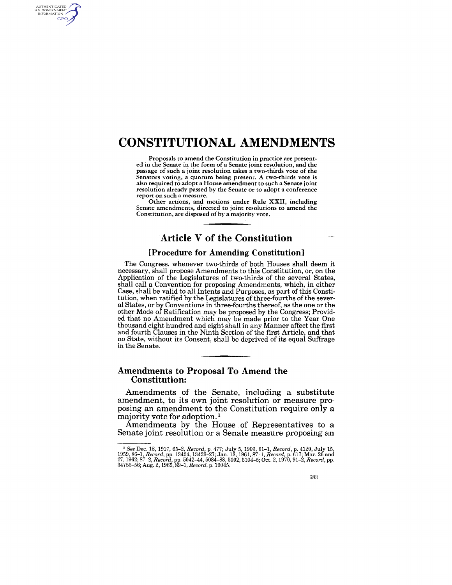# **CONSTITUTIONAL AMENDMENTS**

AUTHENTICATED<br>U.S. GOVERNMENT<br>INFORMATION **GPO** 

> Proposals to amend the Constitution in practice are presented in the Senate in the form of a Senate joint resolution, and the passage of such a joint resolution takes a two-thirds vote of the Senators voting, a quorum being present. A two-thirds vote is also required to adopt a House amendment to such a Senate joint resolution already passed by the Senate or to adopt a conference report on such a measure.

> Other actions, and motions under Rule XXII, including Senate amendments, directed to joint resolutions to amend the Constitution, are disposed of by a majority vote.

## **Article V of the Constitution**

#### **[Procedure for Amending Constitution]**

The Congress, whenever two-thirds of both Houses shall deem it necessary, shall propose Amendments to this Constitution, or, on the Application of the Legislatures of two-thirds of the several States, shall call a Convention for proposing Amendments, which, in either Case, shall be valid to all Intents and Purposes, as part of this Constitution, when ratified by the Legislatures of three-fourths of the several States, or by Conventions in three-fourths thereof, as the one or the other Mode of Ratification may be proposed by the Congress; Provided that no Amendment which may be made prior to the Year One thousand eight hundred and eight shall in any Manner affect the first and fourth Clauses in the Ninth Section of the first Article, and that no State, without its Consent, shall be deprived of its equal Suffrage in the Senate.

### **Amendments to Proposal To Amend the Constitution:**

Amendments of the Senate, including a substitute amendment, to its own joint resolution or measure proposing an amendment to the Constitution require only a majority vote for adoption. 1

Amendments by the House of Representatives to a Senate joint resolution or a Senate measure proposing an

<sup>&</sup>lt;sup>1</sup> See Dec. 18, 1917, 65–2, Record, p. 477; July 5, 1909, 61–1, Record, p. 4120, July 15, 1909, 61–1, Record, p. 13424, 13426–27; Jan. 13, 1961, 87–1, Record, p. 617; Mar. 26 and 27, 1969, 1962–27; Jan. 18, 1961, 87–1, Re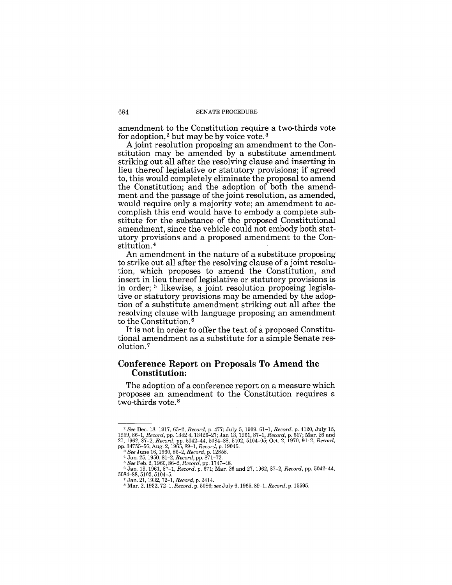amendment to the Constitution require a two-thirds vote for adoption,<sup>2</sup> but may be by voice vote.<sup>3</sup>

A joint resolution proposing an amendment to the Constitution may be amended by a substitute amendment striking out all after the resolving clause and inserting in lieu thereof legislative or statutory provisions; if agreed to, this would completely eliminate the proposal to amend the Constitution; and the adoption of both the amendment and the passage of the joint resolution, as amended, would require only a majority vote; an amendment to accomplish this end would have to embody a complete substitute for the substance of the proposed Constitutional amendment, since the vehicle could not embody both statutory provisions and a proposed amendment to the Constitution. <sup>4</sup>

An amendment in the nature of a substitute proposing to strike out all after the resolving clause of a joint resolution, which proposes to amend the Constitution, and insert in lieu thereof legislative or statutory provisions is in order; 5 likewise, a joint resolution proposing legislative or statutory provisions may be amended by the adoption of a substitute amendment striking out all after the resolving clause with language proposing an amendment to the Constitution. 6

It is not in order to offer the text of a proposed Constitutional amendment as a substitute for a simple Senate resolution. <sup>7</sup>

## **Conference Report on Proposals To Amend the Constitution:**

The adoption of a conference report on a measure which proposes an amendment to the Constitution requires a two-thirds vote. 8

<sup>&</sup>lt;sup>2</sup> See Dec. 18, 1917, 65-2, Record, p. 477; July 5, 1909, 61-1, Record, p. 4120, July 15, 1959, 86-1, Record, pp. 1342 4, 13426-27; Jan 13, 1961, 87-1, Record, p. 617; Mar. 26 and 27, 1962, 87-2, Record, pp. 5102, 5102,

<sup>&</sup>lt;sup>4</sup> Jan. 25, 1950, 81–2, *Record*, pp. 871–72.<br><sup>5</sup> *See* Feb. 2, 1960, 86–2, *Record*, pp. 1747–48.<br><sup>6</sup> Jan. 13, 1961, 87–1, *Record*, p. 671; Mar. 26 and 27, 1962, 87–2, *Record*, pp. 5042–44,<br>5084–88, 5102, 5104–5.

<sup>7</sup> Jan. 21, 1932, 72-1, *Record,* p. 2414. 8 Mar. 2, 1932,72-1, *Record,* p. 5086; *see* July 6, 1965,89-1, *Record,* p. 15595.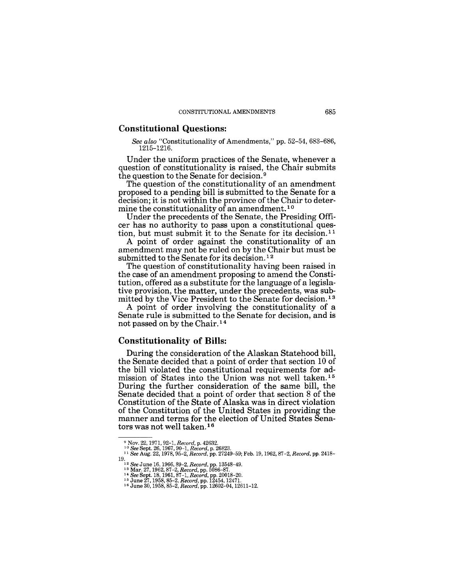#### **Constitutional Questions:**

*See also* "Constitutionality of Amendments," pp. 52-54, 683-686, 1215-1216.

Under the uniform practices of the Senate, whenever a question of constitutionality is raised, the Chair submits the question to the Senate for decision. 9

The question of the constitutionality of an amendment proposed to a pending bill is submitted to the Senate for a decision; it is not within the province of the Chair to determine the constitutionality of an amendment.<sup>10</sup>

Under the precedents of the Senate, the Presiding Officer has no authority to pass upon a constitutional question, but must submit it to the Senate for its decision.<sup>11</sup>

A point of order against the constitutionality of an amendment may not be ruled on by the Chair but must be submitted to the Senate for its decision. 12

The question of constitutionality having been raised in the case of an amendment proposing to amend the Constitution, offered as a substitute for the language of a legislative provision, the matter, under the precedents, was submitted by the Vice President to the Senate for decision. 13

A point of order involving the constitutionality of a Senate rule is submitted to the Senate for decision, and is not passed on by the Chair. 14

#### **Constitutionality of Bills:**

During the consideration of the Alaskan Statehood bill, the Senate decided that a point of order that section 10 of the bill violated the constitutional requirements for admission of States into the Union was not well taken. <sup>15</sup> During the further consideration of the same bill, the Senate decided that a point of order that section 8 of the Constitution of the State of Alaska was in direct violation of the Constitution of the United States in providing the manner and terms for the election of United States Senators was not well taken. 16

<sup>9</sup>Nov. 22, 1971, 92-1, *Record,* p. 42632. 10 *See* Sept. 26, 1967, 90··1, *Record,* p. 26823. 11 *See* Aug. 22, 1978, 95-2, *Record,* pp. 27249-59; Feb. 19, 1962,87-2, *Record,* pp. 2418-

 $^{12}$  See June 16, 1966, 89-2, Record, pp. 13548-49.<br>  $^{13}$  Mar. 27, 1962, 87-2, Record, pp. 5086-87.<br>  $^{14}$  See Sept. 18, 1961, 87-1, Record, pp. 20018-20.<br>  $^{14}$  See Sept. 18, 1963, 85-2, Record, pp. 12454, 12471.<br>